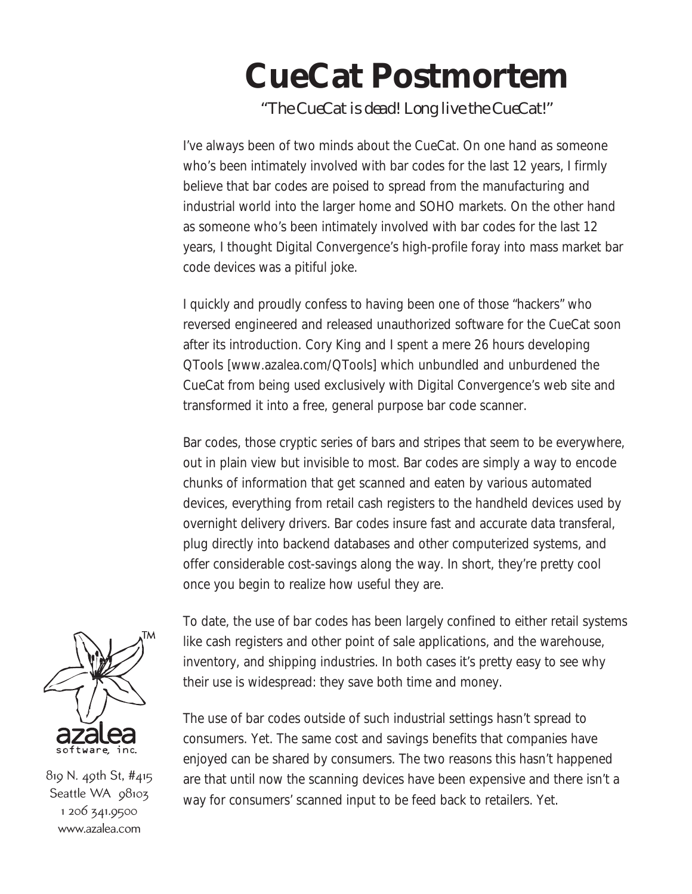## **CueCat Postmortem**

*"The CueCat is dead! Long live the CueCat!"*

I've always been of two minds about the CueCat. On one hand as someone who's been intimately involved with bar codes for the last 12 years, I firmly believe that bar codes are poised to spread from the manufacturing and industrial world into the larger home and SOHO markets. On the other hand as someone who's been intimately involved with bar codes for the last 12 years, I thought Digital Convergence's high-profile foray into mass market bar code devices was a pitiful joke.

I quickly and proudly confess to having been one of those "hackers" who reversed engineered and released unauthorized software for the CueCat soon after its introduction. Cory King and I spent a mere 26 hours developing QTools [www.azalea.com/QTools] which unbundled and unburdened the CueCat from being used exclusively with Digital Convergence's web site and transformed it into a free, general purpose bar code scanner.

Bar codes, those cryptic series of bars and stripes that seem to be everywhere, out in plain view but invisible to most. Bar codes are simply a way to encode chunks of information that get scanned and eaten by various automated devices, everything from retail cash registers to the handheld devices used by overnight delivery drivers. Bar codes insure fast and accurate data transferal, plug directly into backend databases and other computerized systems, and offer considerable cost-savings along the way. In short, they're pretty cool once you begin to realize how useful they are.



[819 N. 49th St, #415](http://www.azalea.com) Seattle WA 98103 1 206 341.9500 www.azalea.com

To date, the use of bar codes has been largely confined to either retail systems like cash registers and other point of sale applications, and the warehouse, inventory, and shipping industries. In both cases it's pretty easy to see why their use is widespread: they save both time and money.

The use of bar codes outside of such industrial settings hasn't spread to consumers. Yet. The same cost and savings benefits that companies have enjoyed can be shared by consumers. The two reasons this hasn't happened are that until now the scanning devices have been expensive and there isn't a way for consumers' scanned input to be feed back to retailers. Yet.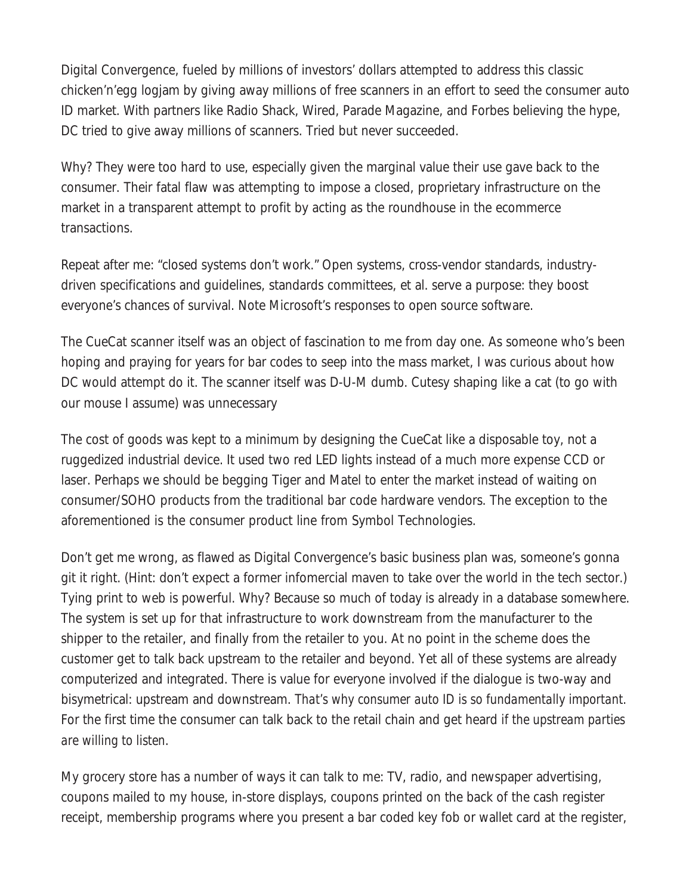Digital Convergence, fueled by millions of investors' dollars attempted to address this classic chicken'n'egg logjam by giving away millions of free scanners in an effort to seed the consumer auto ID market. With partners like Radio Shack, Wired, Parade Magazine, and Forbes believing the hype, DC tried to give away millions of scanners. Tried but never succeeded.

Why? They were too hard to use, especially given the marginal value their use gave back to the consumer. Their fatal flaw was attempting to impose a closed, proprietary infrastructure on the market in a transparent attempt to profit by acting as the roundhouse in the ecommerce transactions.

Repeat after me: "closed systems don't work." Open systems, cross-vendor standards, industrydriven specifications and guidelines, standards committees, et al. serve a purpose: they boost everyone's chances of survival. Note Microsoft's responses to open source software.

The CueCat scanner itself was an object of fascination to me from day one. As someone who's been hoping and praying for years for bar codes to seep into the mass market, I was curious about how DC would attempt do it. The scanner itself was D-U-M dumb. Cutesy shaping like a cat (to go with our mouse I assume) was unnecessary

The cost of goods was kept to a minimum by designing the CueCat like a disposable toy, not a ruggedized industrial device. It used two red LED lights instead of a much more expense CCD or laser. Perhaps we should be begging Tiger and Matel to enter the market instead of waiting on consumer/SOHO products from the traditional bar code hardware vendors. The exception to the aforementioned is the consumer product line from Symbol Technologies.

Don't get me wrong, as flawed as Digital Convergence's basic business plan was, someone's gonna git it right. (Hint: don't expect a former infomercial maven to take over the world in the tech sector.) Tying print to web is powerful. Why? Because so much of today is already in a database somewhere. The system is set up for that infrastructure to work downstream from the manufacturer to the shipper to the retailer, and finally from the retailer to you. At no point in the scheme does the customer get to talk back upstream to the retailer and beyond. Yet all of these systems are already computerized and integrated. There is value for everyone involved if the dialogue is two-way and bisymetrical: upstream and downstream. *That's why consumer auto ID is so fundamentally important.* For the first time the consumer can talk back to the retail chain and get heard *if the upstream parties are willing to listen*.

My grocery store has a number of ways it can talk to me: TV, radio, and newspaper advertising, coupons mailed to my house, in-store displays, coupons printed on the back of the cash register receipt, membership programs where you present a bar coded key fob or wallet card at the register,